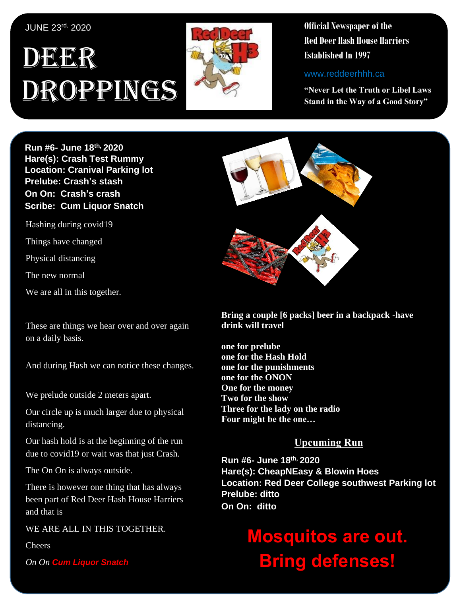#### JUNE 23rd, 2020

## , 1 DEER Droppings



**Official Newspaper of the Red Deer Hash House Harriers Established In 1997** 

www.reddeerhhh.ca

**"Never Let the Truth or Libel Laws Stand in the Way of a Good Story"**

**Hare(s): Deep Throat with a little help from her Run #6- June 18 th, 2020 virgin friend Hare(s): Crash Test Rummy Location: Cranival Parking lot** Prelube: Crash's stash **On On: Crash's crash Scribe: Queen Strath Scribe: Cum Liquor Snatch** 

Hashing during covid19

Things have changed

Physical distancing

The new normal

so I met up with **Curb Crawler**, **TNT**, **Slippery When**  We are all in this together.

These are things we hear over and over again on a daily basis.

And during Hash we can notice these changes.

We prelude outside 2 meters apart.

*daily self-improvement?* Our circle up is much larger due to physical distancing.

Our hash hold is at the beginning of the run due to covid19 or wait was that just Crash.

The On On is always outside.

There is however one thing that has always been part of Red Deer Hash House Harriers and that is a state is the interval of the interval of the interval of the interval of the interval of the interval of the interval of the interval of the interval of the interval of the interval of the interval of the int

WE ARE ALL IN THIS TOGETHER.

**Cheers** 

*On On Cum Liquor Snatch*



**Bring a couple [6 packs] beer in a backpack -have drink will travel**

**one for prelube one for the Hash Hold one for the punishments one for the ONON One for the money Two for the show Three for the lady on the radio Four might be the one…**

### **Upcuming Run**

**Run #6- June 18 th, 2020 Hare(s): CheapNEasy & Blowin Hoes Location: Red Deer College southwest Parking lot Prelube: ditto On On: ditto**

# **Mosquitos are out. Bring defenses!**